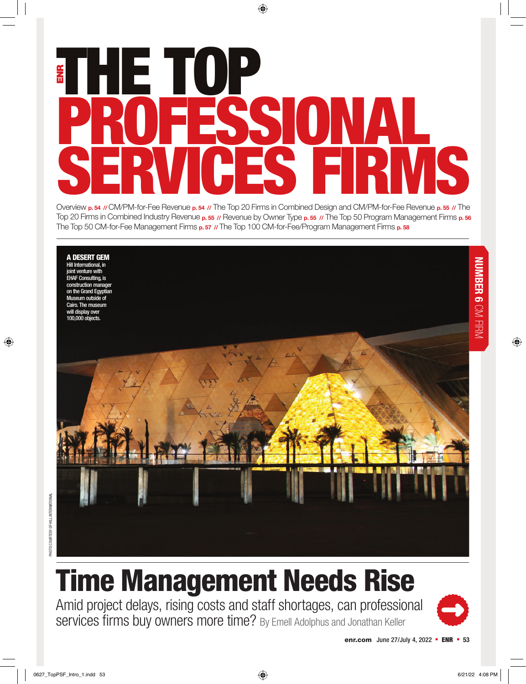# E HE TOP PROFESSIONAL SERVICES FRWS

Overview **p. 54 //** CM/PM-for-Fee Revenue **p. 54 //** The Top 20 Firms in Combined Design and CM/PM-for-Fee Revenue **p. 55 //** The Top 20 Firms in Combined Industry Revenue **p. 55 //** Revenue by Owner Type **p. 55 //** The Top 50 Program Management Firms **p. 56**  The Top 50 CM-for-Fee Management Firms **p. 57 //** The Top 100 CM-for-Fee/Program Management Firms **p. 58**



Amid project delays, rising costs and staff shortages, can professional services firms buy owners more time? By Emell Adolphus and Jonathan Keller



**NUMBER 6**

NUMBER 6 CM FIRM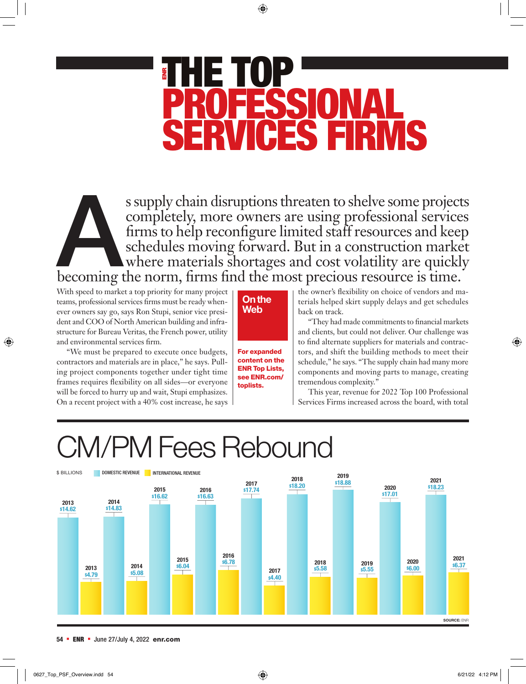# THE TOP PROFESSIONAL ES FIR

s supply chain disruptions threaten to shelve some projects completely, more owners are using professional services firms to help reconfigure limited staff resources and keep schedules moving forward. But in a construction completely, more owners are using professional services firms to help reconfigure limited staff resources and keep schedules moving forward. But in a construction market where materials shortages and cost volatility are quickly becoming the norm, firms find the most precious resource is time.

With speed to market a top priority for many project teams, professional services firms must be ready whenever owners say go, says Ron Stupi, senior vice president and COO of North American building and infrastructure for Bureau Veritas, the French power, utility and environmental services firm.

"We must be prepared to execute once budgets, contractors and materials are in place," he says. Pulling project components together under tight time frames requires flexibility on all sides—or everyone will be forced to hurry up and wait, Stupi emphasizes. On a recent project with a 40% cost increase, he says



For expanded content on the ENR Top Lists, see ENR.com/ toplists.

the owner's flexibility on choice of vendors and materials helped skirt supply delays and get schedules back on track.

"They had made commitments to financial markets and clients, but could not deliver. Our challenge was to find alternate suppliers for materials and contractors, and shift the building methods to meet their schedule," he says. "The supply chain had many more components and moving parts to manage, creating tremendous complexity."

This year, revenue for 2022 Top 100 Professional Services Firms increased across the board, with total

## CM/PM Fees Rebound

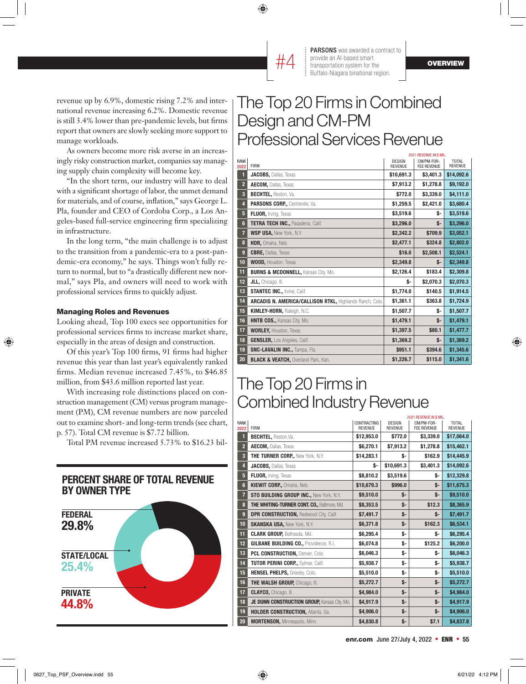

#4

revenue up by 6.9%, domestic rising 7.2% and international revenue increasing 6.2%. Domestic revenue is still 3.4% lower than pre-pandemic levels, but firms report that owners are slowly seeking more support to manage workloads.

As owners become more risk averse in an increasingly risky construction market, companies say managing supply chain complexity will become key.

"In the short term, our industry will have to deal with a significant shortage of labor, the unmet demand for materials, and of course, inflation," says George L. Pla, founder and CEO of Cordoba Corp., a Los Angeles-based full-service engineering firm specializing in infrastructure.

In the long term, "the main challenge is to adjust to the transition from a pandemic-era to a post-pandemic-era economy," he says. Things won't fully return to normal, but to "a drastically different new normal," says Pla, and owners will need to work with professional services firms to quickly adjust.

#### Managing Roles and Revenues

Looking ahead, Top 100 execs see opportunities for professional services firms to increase market share, especially in the areas of design and construction.

Of this year's Top 100 firms, 91 firms had higher revenue this year than last year's equivalently ranked firms. Median revenue increased 7.45%, to \$46.85 million, from \$43.6 million reported last year.

With increasing role distinctions placed on construction management (CM) versus program management (PM), CM revenue numbers are now parceled out to examine short- and long-term trends (see chart, p. 57). Total CM revenue is \$7.72 billion.

Total PM revenue increased 5.73% to \$16.23 bil-



#### The Top 20 Firms in Combined Design and CM-PM Professional Services Revenue

|                         |                                                          |                          | 2021 REVENUE IN \$ MIL.          |                                |
|-------------------------|----------------------------------------------------------|--------------------------|----------------------------------|--------------------------------|
| <b>RANK</b><br>2022     | <b>FIRM</b>                                              | DESIGN<br><b>REVENUE</b> | CM/PM-FOR-<br><b>FEE REVENUE</b> | <b>TOTAL</b><br><b>REVENUE</b> |
| 1                       | JACOBS, Dallas, Texas                                    | \$10,691.3               | \$3,401.3                        | \$14,092.6                     |
| $\overline{2}$          | AECOM, Dallas, Texas                                     | \$7,913.2                | \$1,278.8                        | \$9,192.0                      |
| $\overline{\mathbf{3}}$ | BECHTEL, Reston, Va.                                     | \$772.0                  | \$3,339.0                        | \$4,111.0                      |
| 4                       | PARSONS CORP., Centreville, Va.                          | \$1,259.5                | \$2,421.0                        | \$3,680.4                      |
| 5                       | FLUOR, Irving, Texas                                     | \$3,519.6                | \$-                              | \$3,519.6                      |
| $6\phantom{1}6$         | TETRA TECH INC., Pasadena, Calif.                        | \$3,296.0                | \$-                              | \$3,296.0                      |
| 7                       | <b>WSP USA.</b> New York, N.Y.                           | \$2,342.2                | \$709.9                          | \$3,052.1                      |
| $\bf{8}$                | HDR. Omaha. Neb.                                         | \$2,477.1                | \$324.8                          | \$2,802.0                      |
| $\boldsymbol{9}$        | <b>CBRE, Dallas, Texas</b>                               | \$16.0                   | \$2,508.1                        | \$2,524.1                      |
| 10                      | <b>WOOD, Houston, Texas</b>                              | \$2,349.8                | \$-                              | \$2,349.8                      |
| 11                      | <b>BURNS &amp; MCDONNELL, Kansas City, Mo.</b>           | \$2,126.4                | \$183.4                          | \$2,309.8                      |
| 12                      | JLL, Chicago, III.                                       | \$-                      | \$2,070.3                        | \$2,070.3                      |
| 13                      | <b>STANTEC INC., Irvine, Calif.</b>                      | \$1,774.0                | \$140.5                          | \$1,914.5                      |
| 14                      | ARCADIS N. AMERICA/CALLISON RTKL, Highlands Ranch, Colo. | \$1,361.1                | \$363.8                          | \$1,724.9                      |
| 15                      | KIMLEY-HORN, Raleigh, N.C.                               | \$1,507.7                | \$-                              | \$1,507.7                      |
| 16                      | HNTB COS., Kansas City, Mo.                              | \$1,479.1                | \$-                              | \$1,479.1                      |
| 17                      | <b>WORLEY, Houston, Texas</b>                            | \$1,397.5                | \$80.1                           | \$1,477.7                      |
| 18                      | <b>GENSLER, Los Angeles, Calif.</b>                      | \$1,369.2                | \$-                              | \$1,369.2                      |
| 19                      | <b>SNC-LAVALIN INC., Tampa, Fla.</b>                     | \$951.1                  | \$394.6                          | \$1,345.6                      |
| 20                      | <b>BLACK &amp; VEATCH, Overland Park, Kan.</b>           | \$1,226.7                | \$115.0                          | \$1,341.6                      |

#### The Top 20 Firms in Combined Industry Revenue

|                         |                                               |                                      |                                 | 2021 REVENUE IN \$ MIL.          |                                |
|-------------------------|-----------------------------------------------|--------------------------------------|---------------------------------|----------------------------------|--------------------------------|
| <b>RANK</b><br>2022     | <b>FIRM</b>                                   | <b>CONTRACTING</b><br><b>REVENUE</b> | <b>DESIGN</b><br><b>REVENUE</b> | CM/PM-FOR-<br><b>FEE REVENUE</b> | <b>TOTAL</b><br><b>REVENUE</b> |
| П                       | BECHTEL, Reston, Va.                          | \$12,953.0                           | \$772.0                         | \$3,339.0                        | \$17,064.0                     |
| $\overline{2}$          | AECOM, Dallas, Texas                          | \$6,270.1                            | \$7,913.2                       | \$1,278.8                        | \$15,462.1                     |
| $\overline{\mathbf{3}}$ | <b>THE TURNER CORP., New York, N.Y.</b>       | \$14,283.1                           | \$-                             | \$162.9                          | \$14,445.9                     |
| $\overline{4}$          | <b>JACOBS, Dallas, Texas</b>                  | Ś-                                   | \$10,691.3                      | \$3,401.3                        | \$14,092.6                     |
| 5                       | FLUOR, Irving, Texas                          | \$8,810.2                            | \$3,519.6                       | s-                               | \$12,329.8                     |
| $6\phantom{1}$          | KIEWIT CORP., Omaha, Neb.                     | \$10,679.3                           | \$996.0                         | \$-                              | \$11,675.3                     |
| $\overline{7}$          | STO BUILDING GROUP INC., New York, N.Y.       | \$9,510.0                            | \$-                             | \$-                              | \$9,510.0                      |
| 8                       | THE WHITING-TURNER CONT. CO., Baltimore, Md.  | \$8,353.5                            | \$-                             | \$12.3                           | \$8,365.9                      |
| 9                       | <b>DPR CONSTRUCTION, Redwood City, Calif.</b> | \$7,491.7                            | $S-$                            | \$-                              | \$7,491.7                      |
| 10                      | <b>SKANSKA USA, New York, N.Y.</b>            | \$6,371.8                            | \$-                             | \$162.3                          | \$6,534.1                      |
| 11                      | <b>CLARK GROUP, Bethesda, Md.</b>             | \$6,295.4                            | \$-                             | \$-                              | \$6,295.4                      |
| 12                      | <b>GILBANE BUILDING CO., Providence, R.I.</b> | \$6,074.8                            | \$-                             | \$125.2                          | \$6,200.0                      |
| 13                      | PCL CONSTRUCTION, Denver, Colo.               | \$6,046.3                            | \$-                             | \$-                              | \$6,046.3                      |
| 14                      | TUTOR PERINI CORP., Sylmar, Calif.            | \$5,938.7                            | \$-                             | \$-                              | \$5,938.7                      |
| 15                      | HENSEL PHELPS, Greeley, Colo.                 | \$5,510.0                            | \$-                             | \$-                              | \$5,510.0                      |
| 16                      | <b>THE WALSH GROUP, Chicago, III.</b>         | \$5,272.7                            | \$-                             | \$-                              | \$5,272.7                      |
| 17                      | <b>CLAYCO, Chicago, III.</b>                  | \$4,984.0                            | \$-                             | \$-                              | \$4,984.0                      |
| 18                      | JE DUNN CONSTRUCTION GROUP, Kansas City, Mo.  | \$4,917.9                            | $S-$                            | \$-                              | \$4,917.9                      |
| 19                      | HOLDER CONSTRUCTION, Atlanta, Ga.             | \$4,906.0                            | \$-                             | \$-                              | \$4,906.0                      |
| 20                      | <b>MORTENSON, Minneapolis, Minn.</b>          | \$4,830.8                            | \$-                             | \$7.1                            | \$4,837.8                      |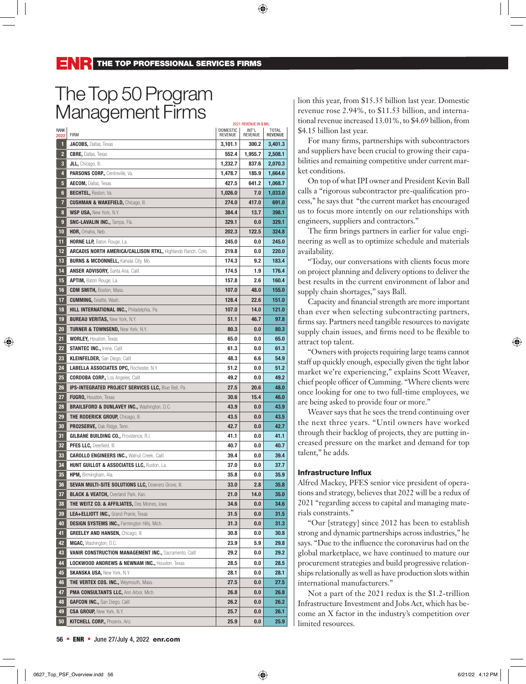### The Top 50 Program Management Firms

|                |                                                                    |                            | 2021 REVENUE IN \$ MIL. |                         |
|----------------|--------------------------------------------------------------------|----------------------------|-------------------------|-------------------------|
| RANK<br>2022   | <b>FIRM</b>                                                        | <b>DOMESTIC</b><br>REVENUE | INT'L<br><b>REVENUE</b> | TOTAL<br><b>REVENUE</b> |
| 1              | <b>JACOBS, Dallas, Texas</b>                                       | 3,101.1                    | 300.2                   | 3,401.3                 |
| $\overline{2}$ | <b>CBRE, Dallas, Texas</b>                                         | 552.4                      | 1,955.7                 | 2,508.1                 |
| 3              | JLL, Chicago, III.                                                 | 1,232.7                    | 837.6                   | 2,070.3                 |
| 4              | PARSONS CORP., Centreville, Va.                                    | 1,478.7                    | 185.9                   | 1,664.6                 |
| 5              | AECOM, Dallas, Texas                                               | 427.5                      | 641.2                   | 1,068.7                 |
| $6\phantom{a}$ | <b>BECHTEL, Reston, Va.</b>                                        | 1,026.0                    | 7.0                     | 1,033.0                 |
| 7              | <b>CUSHMAN &amp; WAKEFIELD, Chicago, III.</b>                      | 274.0                      | 417.0                   | 691.0                   |
| 8              | <b>WSP USA, New York, N.Y.</b>                                     | 384.4                      | 13.7                    | 398.1                   |
| 9              | <b>SNC-LAVALIN INC., Tampa, Fla.</b>                               | 329.1                      | 0.0                     | 329.1                   |
| 10             | HDR, Omaha, Neb.                                                   | 202.3                      | 122.5                   | 324.8                   |
| 11             | <b>HORNE LLP, Baton Rouge, La.</b>                                 | 245.0                      | 0.0                     | 245.0                   |
| 12             | <b>ARCADIS NORTH AMERICA/CALLISON RTKL, Highlands Ranch, Colo.</b> | 219.8                      | 0.0                     | 220.0                   |
| 13             | <b>BURNS &amp; MCDONNELL, Kansas City, Mo.</b>                     | 174.3                      | 9.2                     | 183.4                   |
| 14             | <b>ANSER ADVISORY, Santa Ana, Calif.</b>                           | 174.5                      | 1.9                     | 176.4                   |
| 15             | <b>APTIM, Baton Rouge, La.</b>                                     | 157.8                      | 2.6                     | 160.4                   |
| 16             | <b>CDM SMITH, Boston, Mass.</b>                                    | 107.0                      | 48.0                    | 155.0                   |
| 17             | <b>CUMMING, Seattle, Wash.</b>                                     | 128.4                      | 22.6                    | 151.0                   |
| 18             | <b>HILL INTERNATIONAL INC., Philadelphia, Pa.</b>                  | 107.0                      | 14.0                    | 121.0                   |
| 19             | <b>BUREAU VERITAS, New York, N.Y.</b>                              | 51.1                       | 46.7                    | 97.8                    |
| 20             | TURNER & TOWNSEND, New York, N.Y.                                  | 80.3                       | 0.0                     | 80.3                    |
| 21             | <b>WORLEY, Houston, Texas</b>                                      | 65.0                       | 0.0                     | 65.0                    |
| 22             | <b>STANTEC INC., Irvine, Calif.</b>                                | 61.3                       | 0.0                     | 61.3                    |
| 23             | <b>KLEINFELDER, San Diego, Calif.</b>                              | 48.3                       | 6.6                     | 54.9                    |
| 24             | <b>LABELLA ASSOCIATES DPC, Rochester, N.Y.</b>                     | 51.2                       | 0.0                     | 51.2                    |
| 25             | <b>CORDOBA CORP., Los Angeles, Calif.</b>                          | 49.2                       | 0.0                     | 49.2                    |
| 26             | <b>IPS-INTEGRATED PROJECT SERVICES LLC, Blue Bell, Pa.</b>         | 27.5                       | 20.6                    | 48.0                    |
| 27             | <b>FUGRO, Houston, Texas</b>                                       | 30.6                       | 15.4                    | 46.0                    |
| 28             | <b>BRAILSFORD &amp; DUNLAVEY INC., Washington, D.C.</b>            | 43.9                       | 0.0                     | 43.9                    |
| 29             | <b>THE RODERICK GROUP, Chicago, III.</b>                           | 43.5                       | 0.0                     | 43.5                    |
| 30             | PRO2SERVE, Oak Ridge, Tenn.                                        | 42.7                       | 0.0                     | 42.7                    |
| 31             | <b>GILBANE BUILDING CO., Providence, R.I.</b>                      | 41.1                       | 0.0                     | 41.1                    |
| 32             | <b>PFES LLC, Deerfield, III.</b>                                   | 40.7                       | 0.0                     | 40.7                    |
| 33             | <b>CAROLLO ENGINEERS INC., Walnut Creek, Calif.</b>                | 39.4                       | 0.0                     | 39.4                    |
| 34             | <b>HUNT GUILLOT &amp; ASSOCIATES LLC, Ruston, La.</b>              | 37.0                       | 0.0                     | 37.7                    |
| 35             | HPM, Birmingham, Ala.                                              | 35.8                       | 0.0                     | 35.9                    |
| 36             | <b>SEVAN MULTI-SITE SOLUTIONS LLC, Downers Grove, III.</b>         | 33.0                       | 2.8                     | 35.8                    |
| 37             | <b>BLACK &amp; VEATCH, Overland Park, Kan.</b>                     | 21.0                       | 14.0                    | 35.0                    |
| 38             | THE WEITZ CO. & AFFILIATES, Des Moines, lowa                       | 34.6                       | 0.0                     | 34.6                    |
| 39             | LEA+ELLIOTT INC., Grand Prairie, Texas                             | 31.5                       | 0.0                     | 31.5                    |
| 40             | <b>DESIGN SYSTEMS INC., Farmington Hills, Mich.</b>                | 31.3                       | 0.0                     | 31.3                    |
| 41             | <b>GREELEY AND HANSEN, Chicago, III.</b>                           | 30.8                       | 0.0                     | 30.8                    |
| 42             | MGAC, Washington, D.C.                                             | 23.9                       | 5.9                     | 29.8                    |
| 43             | VANIR CONSTRUCTION MANAGEMENT INC., Sacramento, Calif.             | 29.2                       | 0.0                     | 29.2                    |
| 44             | <b>LOCKWOOD ANDREWS &amp; NEWNAM INC., Houston, Texas</b>          | 28.5                       | 0.0                     | 28.5                    |
| 45             | <b>SKANSKA USA, New York, N.Y.</b>                                 | 28.1                       | 0.0                     | 28.1                    |
| 46             | THE VERTEX COS. INC., Weymouth, Mass.                              | 27.5                       | 0.0                     | 27.5                    |
| 47             | PMA CONSULTANTS LLC, Ann Arbor, Mich.                              | 26.8                       | 0.0                     | 26.8                    |
| 48             | <b>GAFCON INC., San Diego, Calif.</b>                              | 26.2                       | 0.0                     | 26.2                    |
| 49             | <b>CSA GROUP, New York, N.Y.</b>                                   | 25.7                       | 0.0                     | 26.1                    |
| 50             | <b>KITCHELL CORP., Phoenix, Ariz.</b>                              | 25.9                       | 0.0                     | 25.9                    |

lion this year, from \$15.35 billion last year. Domestic revenue rose 2.94%, to \$11.53 billion, and international revenue increased 13.01%, to \$4.69 billion, from \$4.15 billion last year.

For many firms, partnerships with subcontractors and suppliers have been crucial to growing their capabilities and remaining competitive under current market conditions.

On top of what IPI owner and President Kevin Ball calls a "rigorous subcontractor pre-qualification process," he says that "the current market has encouraged us to focus more intently on our relationships with engineers, suppliers and contractors."

The firm brings partners in earlier for value engineering as well as to optimize schedule and materials availability.

"Today, our conversations with clients focus more on project planning and delivery options to deliver the best results in the current environment of labor and supply chain shortages," says Ball.

Capacity and financial strength are more important than ever when selecting subcontracting partners, firms say. Partners need tangible resources to navigate supply chain issues, and firms need to be flexible to attract top talent.

"Owners with projects requiring large teams cannot staff up quickly enough, especially given the tight labor market we're experiencing," explains Scott Weaver, chief people officer of Cumming. "Where clients were once looking for one to two full-time employees, we are being asked to provide four or more."

Weaver says that he sees the trend continuing over the next three years. "Until owners have worked through their backlog of projects, they are putting increased pressure on the market and demand for top talent," he adds.

#### Infrastructure Influx

Alfred Mackey, PFES senior vice president of operations and strategy, believes that 2022 will be a redux of 2021 "regarding access to capital and managing materials constraints."

"Our [strategy] since 2012 has been to establish strong and dynamic partnerships across industries," he says. "Due to the influence the coronavirus had on the global marketplace, we have continued to mature our procurement strategies and build progressive relationships relationally as well as have production slots within international manufacturers."

Not a part of the 2021 redux is the \$1.2-trillion Infrastructure Investment and Jobs Act, which has become an X factor in the industry's competition over limited resources.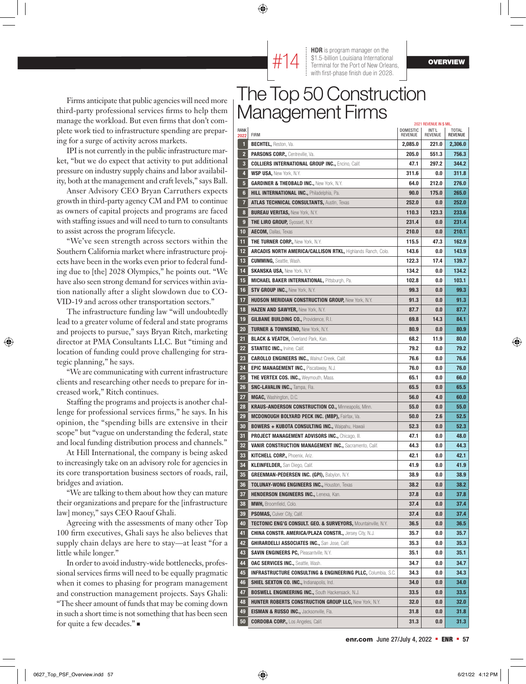

Firms anticipate that public agencies will need more third-party professional services firms to help them manage the workload. But even firms that don't complete work tied to infrastructure spending are preparing for a surge of activity across markets.

IPI is not currently in the public infrastructure market, "but we do expect that activity to put additional pressure on industry supply chains and labor availability, both at the management and craft levels," says Ball.

Anser Advisory CEO Bryan Carruthers expects growth in third-party agency CM and PM to continue as owners of capital projects and programs are faced with staffing issues and will need to turn to consultants to assist across the program lifecycle.

"We've seen strength across sectors within the Southern California market where infrastructure projects have been in the works even prior to federal funding due to [the] 2028 Olympics," he points out. "We have also seen strong demand for services within aviation nationally after a slight slowdown due to CO-VID-19 and across other transportation sectors."

The infrastructure funding law "will undoubtedly lead to a greater volume of federal and state programs and projects to pursue," says Bryan Ritch, marketing director at PMA Consultants LLC. But "timing and location of funding could prove challenging for strategic planning," he says.

"We are communicating with current infrastructure clients and researching other needs to prepare for increased work," Ritch continues.

Staffing the programs and projects is another challenge for professional services firms," he says. In his opinion, the "spending bills are extensive in their scope" but "vague on understanding the federal, state and local funding distribution process and channels."

At Hill International, the company is being asked to increasingly take on an advisory role for agencies in its core transportation business sectors of roads, rail, bridges and aviation.

"We are talking to them about how they can mature their organizations and prepare for the [infrastructure law] money," says CEO Raouf Ghali.

Agreeing with the assessments of many other Top 100 firm executives, Ghali says he also believes that supply chain delays are here to stay—at least "for a little while longer."

In order to avoid industry-wide bottlenecks, professional services firms will need to be equally pragmatic when it comes to phasing for program management and construction management projects. Says Ghali: "The sheer amount of funds that may be coming down in such a short time is not something that has been seen for quite a few decades." $\blacksquare$ 

#### The Top 50 Construction Management Firms

|                |                                                                          |                            | 2021 REVENUE IN \$ MIL. |                         |
|----------------|--------------------------------------------------------------------------|----------------------------|-------------------------|-------------------------|
| RANK<br>2022   | <b>FIRM</b>                                                              | DOMESTIC<br><b>REVENUE</b> | INT'L<br>REVENUE        | TOTAL<br><b>REVENUE</b> |
| IJ             | <b>BECHTEL, Reston, Va.</b>                                              | 2,085.0                    | 221.0                   | 2,306.0                 |
| $\overline{2}$ | <b>PARSONS CORP., Centreville, Va.</b>                                   | 205.0                      | 551.3                   | 756.3                   |
| 3              | <b>COLLIERS INTERNATIONAL GROUP INC., Encino, Calif.</b>                 | 47.1                       | 297.2                   | 344.2                   |
| 4              | <b>WSP USA.</b> New York, N.Y.                                           | 311.6                      | 0.0                     | 311.8                   |
| 5              | <b>GARDINER &amp; THEOBALD INC., New York, N.Y.</b>                      | 64.0                       | 212.0                   | 276.0                   |
| 6              | HILL INTERNATIONAL INC., Philadelphia, Pa.                               | 90.0                       | 175.0                   | 265.0                   |
| 7              | <b>ATLAS TECHNICAL CONSULTANTS, Austin, Texas</b>                        | 252.0                      | 0.0                     | 252.0                   |
| 8              | <b>BUREAU VERITAS, New York, N.Y.</b>                                    | 110.3                      | 123.3                   | 233.6                   |
| 9              | <b>THE LIRO GROUP, Syosset, N.Y.</b>                                     | 231.4                      | 0.0                     | 231.4                   |
| 10             | <b>AECOM, Dallas, Texas</b>                                              | 210.0                      | 0.0                     | 210.1                   |
| 11             | <b>THE TURNER CORP., New York, N.Y.</b>                                  | 115.5                      | 47.3                    | 162.9                   |
| 12             | <b>ARCADIS NORTH AMERICA/CALLISON RTKL, Highlands Ranch, Colo.</b>       | 143.6                      | 0.0                     | 143.9                   |
| 13             | <b>CUMMING, Seattle, Wash.</b>                                           | 122.3                      | 17.4                    | 139.7                   |
| 14             | <b>SKANSKA USA, New York, N.Y.</b>                                       | 134.2                      | 0.0                     | 134.2                   |
| 15             | <b>MICHAEL BAKER INTERNATIONAL, Pittsburgh, Pa.</b>                      | 102.8                      | 0.0                     | 103.1                   |
| 16             | <b>STV GROUP INC., New York, N.Y.</b>                                    | 99.3                       | 0.0                     | 99.3                    |
| 17             | <b>HUDSON MERIDIAN CONSTRUCTION GROUP, New York, N.Y.</b>                | 91.3                       | 0.0                     | 91.3                    |
| 18             | HAZEN AND SAWYER, New York, N.Y.                                         | 87.7                       | 0.0                     | 87.7                    |
| 19             | <b>GILBANE BUILDING CO., Providence, R.I.</b>                            | 69.8                       | 14.3                    | 84.1                    |
| 20             | <b>TURNER &amp; TOWNSEND, New York, N.Y.</b>                             | 80.9                       | 0.0                     | 80.9                    |
| 21             | <b>BLACK &amp; VEATCH, Overland Park, Kan.</b>                           | 68.2                       | 11.9                    | 80.0                    |
| 22             | <b>STANTEC INC., Irvine, Calif.</b>                                      | 79.2                       | 0.0                     | 79.2                    |
| 23             | <b>CAROLLO ENGINEERS INC., Walnut Creek, Calif.</b>                      | 76.6                       | 0.0                     | 76.6                    |
| 24             | <b>EPIC MANAGEMENT INC., Piscataway, N.J.</b>                            | 76.0                       | 0.0                     | 76.0                    |
| 25             | <b>THE VERTEX COS. INC., Weymouth, Mass.</b>                             | 65.1                       | 0.0                     | 66.0                    |
| 26             | <b>SNC-LAVALIN INC., Tampa, Fla.</b>                                     | 65.5                       | 0.0                     | 65.5                    |
| 27             | MGAC, Washington, D.C.                                                   | 56.0                       | 4.0                     | 60.0                    |
| 28             | <b>KRAUS-ANDERSON CONSTRUCTION CO., Minneapolis, Minn.</b>               | 55.0                       | 0.0                     | 55.0                    |
| 29             | <b>MCDONOUGH BOLYARD PECK INC. (MBP), Fairfax, Va.</b>                   | 50.0                       | 2.6                     | 52.5                    |
| 30             | <b>BOWERS + KUBOTA CONSULTING INC., Waipahu, Hawaii</b>                  | 52.3                       | 0.0                     | 52.3                    |
| 31             | <b>PROJECT MANAGEMENT ADVISORS INC., Chicago, III.</b>                   | 47.1                       | 0.0                     | 48.0                    |
| 32             | <b>VANIR CONSTRUCTION MANAGEMENT INC., Sacramento, Calif.</b>            | 44.3                       | 0.0                     | 44.3                    |
| 33             | <b>KITCHELL CORP., Phoenix, Ariz.</b>                                    | 42.1                       | 0.0                     | 42.1                    |
| 34             | <b>KLEINFELDER, San Diego, Calif.</b>                                    | 41.9                       | 0.0                     | 41.9                    |
| 35             | <b>GREENMAN-PEDERSEN INC. (GPI), Babylon, N.Y.</b>                       | 38.9                       | 0.0                     | 38.9                    |
| 36             | <b>TOLUNAY-WONG ENGINEERS INC., Houston, Texas</b>                       | 38.2                       | 0.0                     | 38.2                    |
| 37             | HENDERSON ENGINEERS INC., Lenexa, Kan.                                   | 37.8                       | 0.0                     | 37.8                    |
| 38             | <b>MWH, Broomfield, Colo.</b>                                            | 37.4                       | 0.0                     | 37.4                    |
| 39             | <b>PSOMAS, Culver City, Calif.</b>                                       | 37.4                       | 0.0                     | 37.4                    |
| 40             | <b>TECTONIC ENG'G CONSULT. GEO. &amp; SURVEYORS, Mountainville, N.Y.</b> | 36.5                       | 0.0                     | 36.5                    |
| 41             | <b>CHINA CONSTR. AMERICA/PLAZA CONSTR., Jersey City, N.J.</b>            | 35.7                       | 0.0                     | 35.7                    |
| 42             | <b>GHIRARDELLI ASSOCIATES INC., San Jose, Calif.</b>                     | 35.3                       | 0.0                     | 35.3                    |
| 43             | <b>SAVIN ENGINEERS PC, Pleasantville, N.Y.</b>                           | 35.1                       | 0.0                     | 35.1                    |
| 44             | OAC SERVICES INC., Seattle, Wash.                                        | 34.7                       | 0.0                     | 34.7                    |
| 45             | <b>INFRASTRUCTURE CONSULTING &amp; ENGINEERING PLLC, Columbia, S.C.</b>  | 34.3                       | 0.0                     | 34.3                    |
| 46             | <b>SHIEL SEXTON CO. INC., Indianapolis, Ind.</b>                         | 34.0                       | 0.0                     | 34.0                    |
| 47             | <b>BOSWELL ENGINEERING INC., South Hackensack, N.J.</b>                  | 33.5                       | 0.0                     | 33.5                    |
| 48             | <b>HUNTER ROBERTS CONSTRUCTION GROUP LLC, New York, N.Y.</b>             | 32.0                       | 0.0                     | 32.0                    |
| 49             | <b>EISMAN &amp; RUSSO INC., Jacksonville, Fla.</b>                       | 31.8                       | 0.0                     | 31.8                    |
| 50             | <b>CORDOBA CORP., Los Angeles, Calif.</b>                                | 31.3                       | 0.0                     | 31.3                    |
|                |                                                                          |                            |                         |                         |